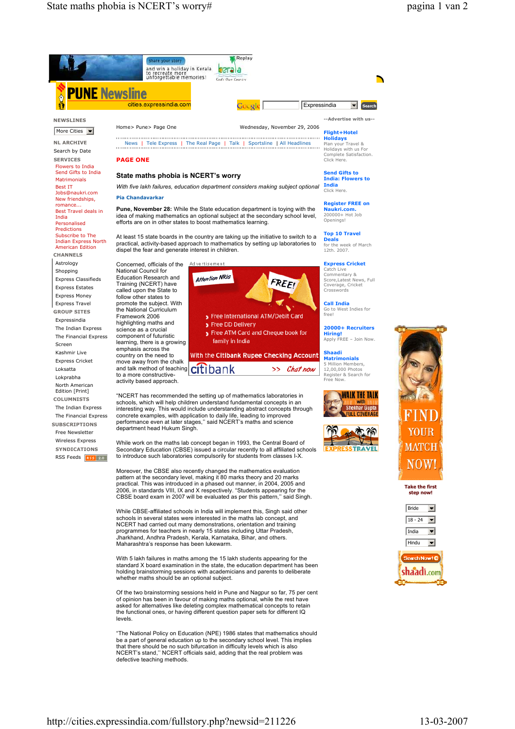



RSS Feeds RSS 2.0

Moreover, the CBSE also recently changed the mathematics evaluation pattern at the secondary level, making it 80 marks theory and 20 marks practical. This was introduced in a phased out manner, in 2004, 2005 and 2006, in standards VIII, IX and X respectively. "Students appearing for the CBSE board exam in 2007 will be evaluated as per this pattern,'' said Singh.

While CBSE-affiliated schools in India will implement this, Singh said other schools in several states were interested in the maths lab concept, and NCERT had carried out many demonstrations, orientation and training programmes for teachers in nearly 15 states including Uttar Pradesh, Jharkhand, Andhra Pradesh, Kerala, Karnataka, Bihar, and others. Maharashtra's response has been lukewarm.

With 5 lakh failures in maths among the 15 lakh students appearing for the standard X board examination in the state, the education department has been holding brainstorming sessions with academicians and parents to deliberate whether maths should be an optional subject.

Of the two brainstorming sessions held in Pune and Nagpur so far, 75 per cent of opinion has been in favour of making maths optional, while the rest have asked for alternatives like deleting complex mathematical concepts to retain the functional ones, or having different question paper sets for different IQ levels.

"The National Policy on Education (NPE) 1986 states that mathematics should be a part of general education up to the secondary school level. This implies that there should be no such bifurcation in difficulty levels which is also NCERT's stand,'' NCERT officials said, adding that the real problem was defective teaching methods.

Complete Satisfaction.

Deals<br>for the week of March<br>12th. 2007.

Score,Latest News, Full

Call India Go to West Indies for

Apply FREE – Join Now.

5 Million Members, 12,00,000 Photos Register & Search for Free Now.







Take the first step now!



Search Now! C shaadi.com

Secondary Education (CBSE) issued a circular recently to all affiliated schools to introduce such laboratories compulsorily for students from classes I-X.